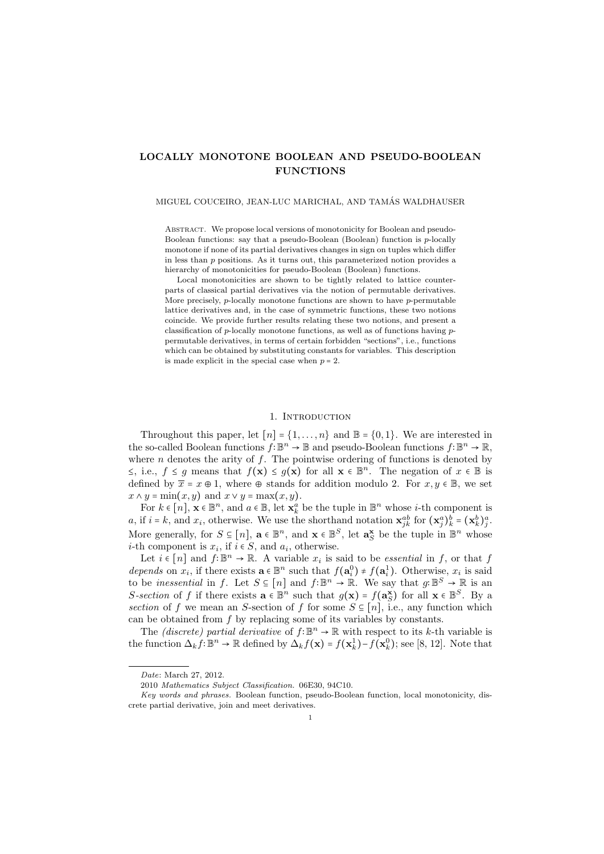# **LOCALLY MONOTONE BOOLEAN AND PSEUDO-BOOLEAN FUNCTIONS**

### MIGUEL COUCEIRO, JEAN-LUC MARICHAL, AND TAMAS WALDHAUSER ´

Abstract. We propose local versions of monotonicity for Boolean and pseudo-Boolean functions: say that a pseudo-Boolean (Boolean) function is *p*-locally monotone if none of its partial derivatives changes in sign on tuples which differ in less than *p* positions. As it turns out, this parameterized notion provides a hierarchy of monotonicities for pseudo-Boolean (Boolean) functions.

Local monotonicities are shown to be tightly related to lattice counterparts of classical partial derivatives via the notion of permutable derivatives. More precisely, *p*-locally monotone functions are shown to have *p*-permutable lattice derivatives and, in the case of symmetric functions, these two notions coincide. We provide further results relating these two notions, and present a classification of *p*-locally monotone functions, as well as of functions having *p*permutable derivatives, in terms of certain forbidden "sections", i.e., functions which can be obtained by substituting constants for variables. This description is made explicit in the special case when  $p = 2$ .

### 1. INTRODUCTION

Throughout this paper, let  $[n] = \{1, \ldots, n\}$  and  $\mathbb{B} = \{0, 1\}$ . We are interested in the so-called Boolean functions  $f: \mathbb{B}^n \to \mathbb{B}$  and pseudo-Boolean functions  $f: \mathbb{B}^n \to \mathbb{R}$ , where *n* denotes the arity of *f*. The pointwise ordering of functions is denoted by <sup>≤</sup>, i.e., *<sup>f</sup>* <sup>≤</sup> *<sup>g</sup>* means that *<sup>f</sup>*(**x**) <sup>≤</sup> *<sup>g</sup>*(**x**) for all **<sup>x</sup>** <sup>∈</sup> <sup>B</sup> *n* . The negation of *<sup>x</sup>* <sup>∈</sup> <sup>B</sup> is defined by  $\bar{x} = x \oplus 1$ , where  $\oplus$  stands for addition modulo 2. For  $x, y \in \mathbb{B}$ , we set  $x \wedge y = \min(x, y)$  and  $x \vee y = \max(x, y)$ .

For  $k \in [n]$ ,  $\mathbf{x} \in \mathbb{B}^n$ , and  $a \in \mathbb{B}$ , let  $\mathbf{x}_k^a$  be the tuple in  $\mathbb{B}^n$  whose *i*-th component is a, if  $i = k$ , and  $x_i$ , otherwise. We use the shorthand notation  $\mathbf{x}_{jk}^{ab}$  for  $(\mathbf{x}_j^a)_{k}^b = (\mathbf{x}_k^b)_{j}^a$ . More generally, for  $S \subseteq [n]$ ,  $\mathbf{a} \in \mathbb{B}^n$ , and  $\mathbf{x} \in \mathbb{B}^S$ , let  $\mathbf{a}_S^{\mathbf{x}}$  be the tuple in  $\mathbb{B}^n$  whose *i*-th component is  $x_i$ , if  $i \in S$ , and  $a_i$ , otherwise.

Let  $i \in [n]$  and  $f: \mathbb{B}^n \to \mathbb{R}$ . A variable  $x_i$  is said to be *essential* in *f*, or that *f*  $\sum_{i=1}^n f(x_i)$  or  $f(x_i)$  or  $f(x_i)$  or  $f(x_i)$  or  $f(x_i)$  or  $f(x_i)$  or  $f(x_i)$  or  $f(x_i)$  or  $f(x_i)$  or  $f(x_i)$  or  $f(x_i)$  or *depends* on  $x_i$ , if there exists  $\mathbf{a} \in \mathbb{B}^n$  such that  $f(\mathbf{a}_i^0) \neq f(\mathbf{a}_i^1)$ . Otherwise,  $x_i$  is said to be *inessential* in *f*. Let  $S \subseteq [n]$  and  $f: \mathbb{B}^n \to \mathbb{R}$ . We say that  $g: \mathbb{B}^S \to \mathbb{R}$  is an  $S$  existen of f if there exists  $g \in \mathbb{B}^n$  and that  $g(x) = f(x)$  for all  $x \in \mathbb{B}^S$ . Property *S*-section of *f* if there exists  $\mathbf{a} \in \mathbb{B}^n$  such that  $g(\mathbf{x}) = f(\mathbf{a}_S^{\mathbf{x}})$  for all  $\mathbf{x} \in \mathbb{B}^S$ . By a continuous of *f* we mean an *S* continuous of *f* for some *S*  $\subseteq$  [a] is a sput function which *section* of *f* we mean an *S*-section of *f* for some  $S \subseteq [n]$ , i.e., any function which can be obtained from *f* by replacing some of its variables by constants.

The *(discrete)* partial derivative of  $f: \mathbb{B}^n \to \mathbb{R}$  with respect to its *k*-th variable is the function  $\Delta_k f: \mathbb{B}^n \to \mathbb{R}$  defined by  $\Delta_k f(\mathbf{x}) = f(\mathbf{x}_k^1) - f(\mathbf{x}_k^0)$ ; see [8, 12]. Note that

*Date*: March 27, 2012.

<sup>2010</sup> *Mathematics Subject Classification.* 06E30, 94C10.

*Key words and phrases.* Boolean function, pseudo-Boolean function, local monotonicity, discrete partial derivative, join and meet derivatives.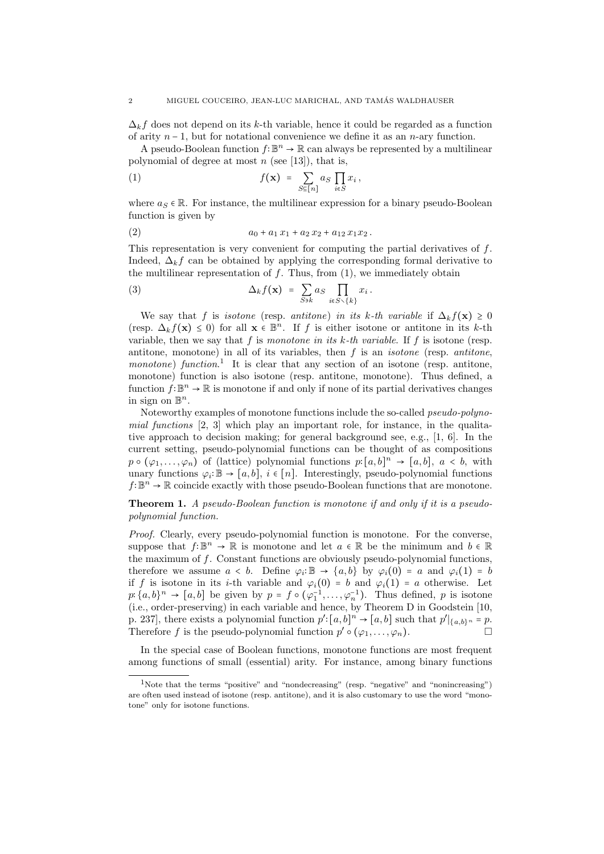$\Delta_k f$  does not depend on its *k*-th variable, hence it could be regarded as a function of arity *n* − 1, but for notational convenience we define it as an *n*-ary function.

A pseudo-Boolean function  $f: \mathbb{B}^n \to \mathbb{R}$  can always be represented by a multilinear polynomial of degree at most *n* (see [13]), that is,

(1) 
$$
f(\mathbf{x}) = \sum_{S \subseteq [n]} a_S \prod_{i \in S} x_i,
$$

where  $a_S \in \mathbb{R}$ . For instance, the multilinear expression for a binary pseudo-Boolean function is given by

(2) 
$$
a_0 + a_1 x_1 + a_2 x_2 + a_{12} x_1 x_2.
$$

This representation is very convenient for computing the partial derivatives of *f*. Indeed,  $\Delta_k f$  can be obtained by applying the corresponding formal derivative to the multilinear representation of *f*. Thus, from (1), we immediately obtain

(3) 
$$
\Delta_k f(\mathbf{x}) = \sum_{S \ni k} a_S \prod_{i \in S \setminus \{k\}} x_i.
$$

We say that *f* is *isotone* (resp. *antitone*) *in its k*-th variable if  $\Delta_k f(\mathbf{x}) \geq 0$ (resp.  $\Delta_k f(\mathbf{x}) \leq 0$ ) for all  $\mathbf{x} \in \mathbb{B}^n$ . If *f* is either isotone or antitone in its *k*-th respectively in the *k*-th respectively in the *k*-th respectively in the *k*-th respectively in the *k*-th respective variable, then we say that *f* is *monotone in its k-th variable*. If *f* is isotone (resp. antitone, monotone) in all of its variables, then *f* is an *isotone* (resp. *antitone*, *monotone*) *function*.<sup>1</sup> It is clear that any section of an isotone (resp. antitone, monotone) function is also isotone (resp. antitone, monotone). Thus defined, a function  $f: \mathbb{B}^n \to \mathbb{R}$  is monotone if and only if none of its partial derivatives changes in sign on  $\mathbb{B}^n$ .

Noteworthy examples of monotone functions include the so-called *pseudo-polynomial functions* [2, 3] which play an important role, for instance, in the qualitative approach to decision making; for general background see, e.g., [1, 6]. In the current setting, pseudo-polynomial functions can be thought of as compositions  $p \circ (\varphi_1, \ldots, \varphi_n)$  of (lattice) polynomial functions  $p: [a, b]^n \to [a, b]$ ,  $a < b$ , with unary functions  $\varphi_i: \mathbb{B} \to [a, b], i \in [n]$ . Interestingly, pseudo-polynomial functions  $f: \mathbb{B}^n \to \mathbb{R}$  seinable quantity with these possible Boslean functions that are menotoned *f*∶ $\mathbb{B}^n \to \mathbb{R}$  coincide exactly with those pseudo-Boolean functions that are monotone.

**Theorem 1.** *A pseudo-Boolean function is monotone if and only if it is a pseudopolynomial function.*

*Proof.* Clearly, every pseudo-polynomial function is monotone. For the converse, suppose that  $f: \mathbb{B}^n \to \mathbb{R}$  is monotone and let  $a \in \mathbb{R}$  be the minimum and  $b \in \mathbb{R}$ <br>the meritarized of f. Constant functions are shripped positively positive polynomial functions. the maximum of *f*. Constant functions are obviously pseudo-polynomial functions, therefore we assume  $a < b$ . Define  $\varphi_i : \mathbb{B} \to \{a, b\}$  by  $\varphi_i(0) = a$  and  $\varphi_i(1) = b$ <br>if  $f$  is instance in its *i*th spairble and  $\varphi_i(0) = b$  and  $\varphi_i(1) = a$  athening. Let if *f* is isotone in its *i*-th variable and  $\varphi_i(0) = b$  and  $\varphi_i(1) = a$  otherwise. Let  $p: \{a, b\}^n \to [a, b]$  be given by  $p = f \circ (\varphi_1^{-1}, \ldots, \varphi_n^{-1})$ . Thus defined, *p* is isotone (i.e., order-preserving) in each variable and hence, by Theorem D in Goodstein [10, p. 237], there exists a polynomial function  $p':[a,b]^n \to [a,b]$  such that  $p'|_{\{a,b\}^n} = p$ . Therefore *f* is the pseudo-polynomial function  $p' \circ (\varphi_1, \ldots, \varphi_n)$ .

In the special case of Boolean functions, monotone functions are most frequent among functions of small (essential) arity. For instance, among binary functions

<sup>&</sup>lt;sup>1</sup>Note that the terms "positive" and "nondecreasing" (resp. "negative" and "nonincreasing") are often used instead of isotone (resp. antitone), and it is also customary to use the word "monotone" only for isotone functions.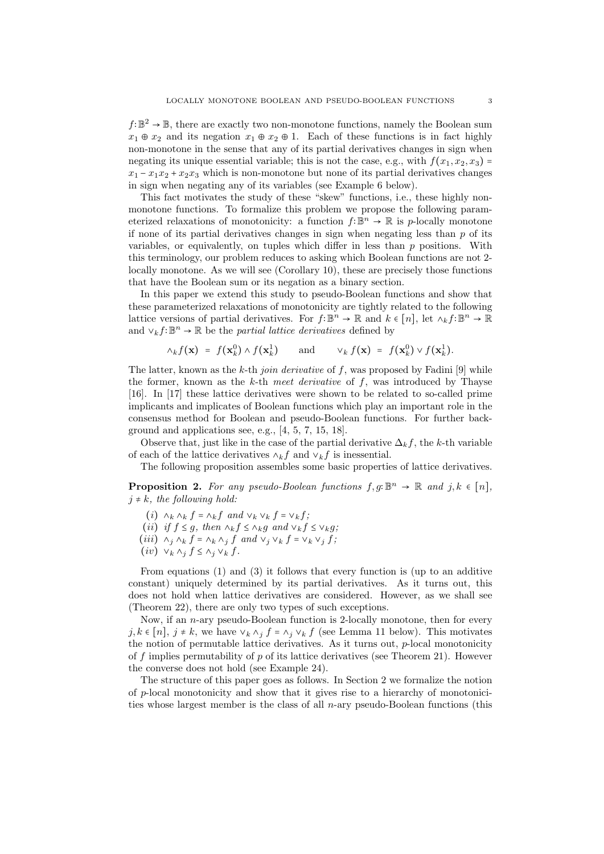*f*∶ $\mathbb{B}^2 \to \mathbb{B}$ , there are exactly two non-monotone functions, namely the Boolean sum  $x_1 \oplus x_2$  and its negation  $x_1 \oplus x_2 \oplus 1$ . Each of these functions is in fact highly non-monotone in the sense that any of its partial derivatives changes in sign when negating its unique essential variable; this is not the case, e.g., with  $f(x_1, x_2, x_3)$  =  $x_1 - x_1x_2 + x_2x_3$  which is non-monotone but none of its partial derivatives changes in sign when negating any of its variables (see Example 6 below).

This fact motivates the study of these "skew" functions, i.e., these highly nonmonotone functions. To formalize this problem we propose the following parameterized relaxations of monotonicity: a function  $f: \mathbb{B}^n \to \mathbb{R}$  is *p*-locally monotone if none of its partial derivatives changes in sign when negating less than *p* of its variables, or equivalently, on tuples which differ in less than *p* positions. With this terminology, our problem reduces to asking which Boolean functions are not 2 locally monotone. As we will see (Corollary 10), these are precisely those functions that have the Boolean sum or its negation as a binary section.

In this paper we extend this study to pseudo-Boolean functions and show that these parameterized relaxations of monotonicity are tightly related to the following lattice versions of partial derivatives. For  $f: \mathbb{B}^n \to \mathbb{R}$  and  $k \in [n]$ , let  $\wedge_k f: \mathbb{B}^n \to \mathbb{R}$ and  $\vee_k f: \mathbb{B}^n \to \mathbb{R}$  be the *partial lattice derivatives* defined by

$$
\wedge_k f(\mathbf{x}) = f(\mathbf{x}_k^0) \wedge f(\mathbf{x}_k^1) \quad \text{and} \quad \vee_k f(\mathbf{x}) = f(\mathbf{x}_k^0) \vee f(\mathbf{x}_k^1).
$$

The latter, known as the *k*-th *join derivative* of *f*, was proposed by Fadini [9] while the former, known as the *k*-th *meet derivative* of *f*, was introduced by Thayse [16]. In [17] these lattice derivatives were shown to be related to so-called prime implicants and implicates of Boolean functions which play an important role in the consensus method for Boolean and pseudo-Boolean functions. For further background and applications see, e.g., [4, 5, 7, 15, 18].

Observe that, just like in the case of the partial derivative  $\Delta_k f$ , the *k*-th variable of each of the lattice derivatives  $\wedge_k f$  and  $\vee_k f$  is inessential.

The following proposition assembles some basic properties of lattice derivatives.

**Proposition 2.** For any pseudo-Boolean functions  $f, g: \mathbb{B}^n \to \mathbb{R}$  and  $j, k \in [n]$ ,  $j \neq k$ *, the following hold:* 

- (*i*)  $\wedge_k \wedge_k f = \wedge_k f$  and  $\vee_k \vee_k f = \vee_k f$ ;
- (*ii*) *if*  $f \leq g$ *, then*  $\wedge_k f \leq \wedge_k g$  *and*  $\vee_k f \leq \vee_k g$ *;*
- (*iii*)  $\wedge_j \wedge_k f = \wedge_k \wedge_j f$  and  $\vee_j \vee_k f = \vee_k \vee_j f$ ;
- $(iv) \vee_k \wedge_j f \leq \wedge_j \vee_k f$ .

From equations (1) and (3) it follows that every function is (up to an additive constant) uniquely determined by its partial derivatives. As it turns out, this does not hold when lattice derivatives are considered. However, as we shall see (Theorem 22), there are only two types of such exceptions.

Now, if an *n*-ary pseudo-Boolean function is 2-locally monotone, then for every *j*,  $k \in [n]$ ,  $j \neq k$ , we have  $\vee_k \wedge_j f = \wedge_j \vee_k f$  (see Lemma 11 below). This motivates the notion of permutable lattice derivatives. As it turns out, *p*-local monotonicity of *f* implies permutability of *p* of its lattice derivatives (see Theorem 21). However the converse does not hold (see Example 24).

The structure of this paper goes as follows. In Section 2 we formalize the notion of *p*-local monotonicity and show that it gives rise to a hierarchy of monotonicities whose largest member is the class of all *n*-ary pseudo-Boolean functions (this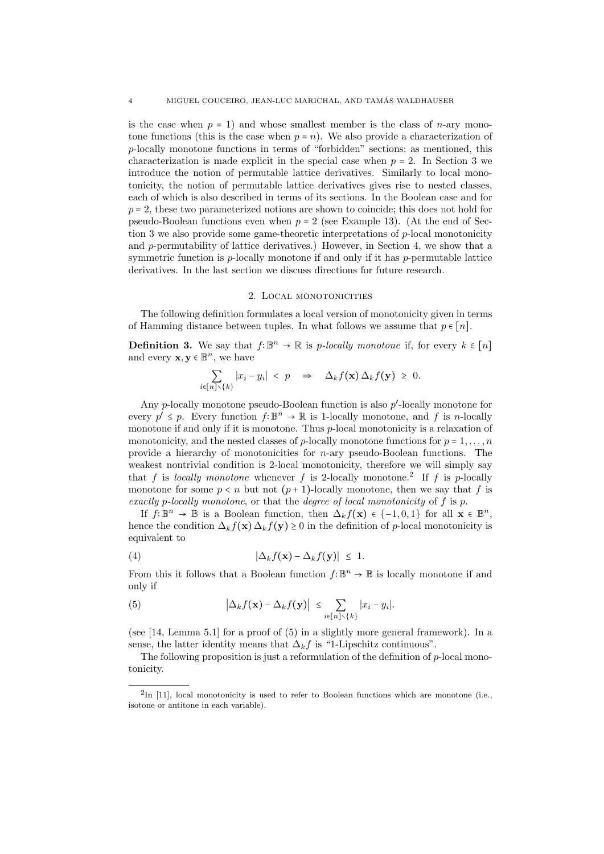is the case when  $p = 1$ ) and whose smallest member is the class of *n*-ary monotone functions (this is the case when  $p = n$ ). We also provide a characterization of *p*-locally monotone functions in terms of "forbidden" sections; as mentioned, this characterization is made explicit in the special case when  $p = 2$ . In Section 3 we introduce the notion of permutable lattice derivatives. Similarly to local monotonicity, the notion of permutable lattice derivatives gives rise to nested classes, each of which is also described in terms of its sections. In the Boolean case and for *<sup>p</sup>* <sup>=</sup> 2, these two parameterized notions are shown to coincide; this does not hold for pseudo-Boolean functions even when  $p = 2$  (see Example 13). (At the end of Section 3 we also provide some game-theoretic interpretations of *p*-local monotonicity and *p*-permutability of lattice derivatives.) However, in Section 4, we show that a symmetric function is *p*-locally monotone if and only if it has *p*-permutable lattice derivatives. In the last section we discuss directions for future research.

## 2. Local monotonicities

The following definition formulates a local version of monotonicity given in terms of Hamming distance between tuples. In what follows we assume that  $p \in [n]$ .

**Definition 3.** We say that  $f: \mathbb{B}^n \to \mathbb{R}$  is *p*-locally monotone if, for every  $k \in [n]$ and every  $\mathbf{x}, \mathbf{y} \in \mathbb{B}^n$ , we have

$$
\sum_{i\in[n]\setminus\{k\}}|x_i-y_i|~<\;p\quad\Rightarrow\quad\Delta_k f(\mathbf{x})\,\Delta_k f(\mathbf{y})~\geq~0.
$$

Any *p*-locally monotone pseudo-Boolean function is also *p*'-locally monotone for every  $p' \leq p$ . Every function  $f: \mathbb{B}^n \to \mathbb{R}$  is 1-locally monotone, and  $f$  is *n*-locally monotone if and only if it is monotone. Thus *p*-local monotonicity is a relaxation of monotonicity, and the nested classes of *p*-locally monotone functions for  $p = 1, \ldots, n$ provide a hierarchy of monotonicities for *n*-ary pseudo-Boolean functions. The weakest nontrivial condition is 2-local monotonicity, therefore we will simply say that *f* is *locally monotone* whenever *f* is 2-locally monotone.<sup>2</sup> If *f* is *p*-locally monotone for some  $p < n$  but not  $(p + 1)$ -locally monotone, then we say that f is *exactly p-locally monotone*, or that the *degree of local monotonicity* of *f* is *p*.

If  $f: \mathbb{B}^n \to \mathbb{B}$  is a Boolean function, then  $\Delta_k f(\mathbf{x}) \in \{-1, 0, 1\}$  for all  $\mathbf{x} \in \mathbb{B}^n$ , hence the condition  $\Delta_k f(\mathbf{x}) \Delta_k f(\mathbf{y}) \geq 0$  in the definition of *p*-local monotonicity is equivalent to

(4) 
$$
|\Delta_k f(\mathbf{x}) - \Delta_k f(\mathbf{y})| \leq 1.
$$

From this it follows that a Boolean function  $f: \mathbb{B}^n \to \mathbb{B}$  is locally monotone if and only if

(5) 
$$
\left|\Delta_k f(\mathbf{x}) - \Delta_k f(\mathbf{y})\right| \leq \sum_{i \in [n] \setminus \{k\}} |x_i - y_i|.
$$

(see [14, Lemma 5.1] for a proof of (5) in a slightly more general framework). In a sense, the latter identity means that  $\Delta_k f$  is "1-Lipschitz continuous".

The following proposition is just a reformulation of the definition of *p*-local monotonicity.

 ${}^{2}\text{In}$  [11], local monotonicity is used to refer to Boolean functions which are monotone (i.e., isotone or antitone in each variable).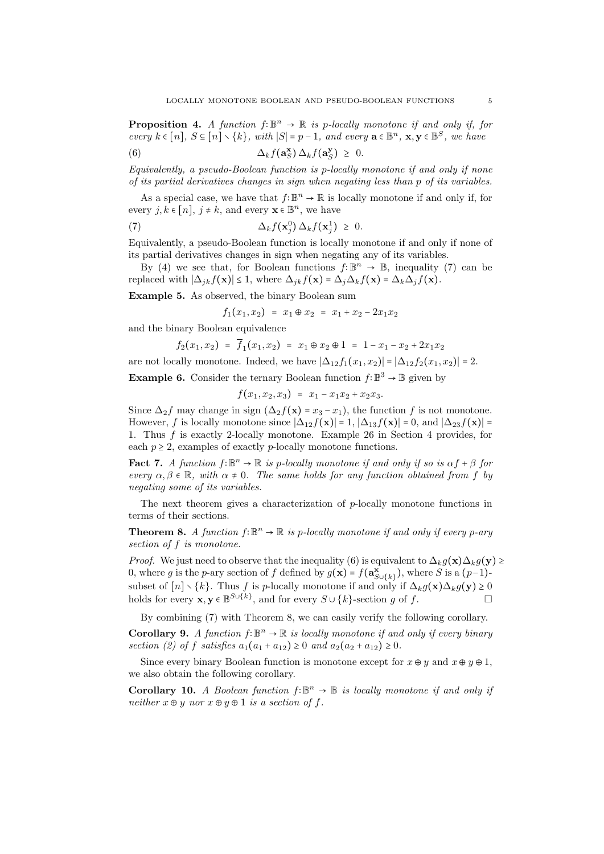**Proposition 4.** *A function*  $f: \mathbb{B}^n \to \mathbb{R}$  is p-locally monotone if and only if, for *every*  $k \in [n]$ *,*  $S \subseteq [n] \setminus \{k\}$ *, with*  $|S| = p - 1$ *, and every*  $\mathbf{a} \in \mathbb{B}^n$ *,*  $\mathbf{x}, \mathbf{y} \in \mathbb{B}^S$ *, we have* 

(6) 
$$
\Delta_k f(\mathbf{a}_S^{\mathbf{x}}) \Delta_k f(\mathbf{a}_S^{\mathbf{y}}) \geq 0.
$$

*Equivalently, a pseudo-Boolean function is p-locally monotone if and only if none of its partial derivatives changes in sign when negating less than p of its variables.*

As a special case, we have that  $f: \mathbb{B}^n \to \mathbb{R}$  is locally monotone if and only if, for every  $j, k \in [n]$ ,  $j \neq k$ , and every  $\mathbf{x} \in \mathbb{B}^n$ , we have

(7) 
$$
\Delta_k f(\mathbf{x}_j^0) \Delta_k f(\mathbf{x}_j^1) \geq 0.
$$

Equivalently, a pseudo-Boolean function is locally monotone if and only if none of its partial derivatives changes in sign when negating any of its variables.

By (4) we see that, for Boolean functions  $f: \mathbb{B}^n \to \mathbb{B}$ , inequality (7) can be replaced with  $|\Delta_{jk} f(\mathbf{x})| \leq 1$ , where  $\Delta_{jk} f(\mathbf{x}) = \Delta_j \Delta_k f(\mathbf{x}) = \Delta_k \Delta_j f(\mathbf{x})$ .

**Example 5.** As observed, the binary Boolean sum

$$
f_1(x_1, x_2) = x_1 \oplus x_2 = x_1 + x_2 - 2x_1x_2
$$

and the binary Boolean equivalence

$$
f_2(x_1,x_2) = f_1(x_1,x_2) = x_1 \oplus x_2 \oplus 1 = 1 - x_1 - x_2 + 2x_1x_2
$$

are not locally monotone. Indeed, we have  $|\Delta_{12} f_1(x_1, x_2)| = |\Delta_{12} f_2(x_1, x_2)| = 2$ .

**Example 6.** Consider the ternary Boolean function  $f: \mathbb{B}^3 \to \mathbb{B}$  given by

$$
f(x_1,x_2,x_3) = x_1 - x_1x_2 + x_2x_3.
$$

Since  $\Delta_2 f$  may change in sign  $(\Delta_2 f(\mathbf{x}) = x_3 - x_1)$ , the function *f* is not monotone. However, *f* is locally monotone since  $|\Delta_{12} f(\mathbf{x})| = 1$ ,  $|\Delta_{13} f(\mathbf{x})| = 0$ , and  $|\Delta_{23} f(\mathbf{x})| = 0$ 1. Thus *f* is exactly 2-locally monotone. Example 26 in Section 4 provides, for each  $p \geq 2$ , examples of exactly *p*-locally monotone functions.

**Fact 7.** *A function*  $f: \mathbb{B}^n \to \mathbb{R}$  *is p*-locally monotone if and only if so is  $\alpha f + \beta$  for  $e^{i\omega t}$  *α, β*  $\in \mathbb{R}$ *, with*  $\alpha \neq 0$ *. The same holds for any function obtained from f by negating some of its variables.*

The next theorem gives a characterization of *p*-locally monotone functions in terms of their sections.

**Theorem 8.** *A function*  $f: \mathbb{B}^n \to \mathbb{R}$  *is p*-locally monotone if and only if every *p*-ary *section of f is monotone.*

*Proof.* We just need to observe that the inequality (6) is equivalent to  $\Delta_k g(\mathbf{x})\Delta_k g(\mathbf{y}) \geq$ 0, where *g* is the *p*-ary section of *f* defined by  $g(\mathbf{x}) = f(\mathbf{a}_{\text{SU}(k)}^{\mathbf{x}})$ , where *S* is a  $(p-1)$ -SUBSET  $S$  is the *p*-ary section of *f* defined by  $g(x) - f(\alpha_{S \cup \{k\}})$ , where *S* is a (*p* + *j*-subset of  $[n] \setminus \{k\}$ . Thus *f* is *p*-locally monotone if and only if  $\Delta_k g(x) \Delta_k g(y) \ge 0$ holds for every **x***,***y**  $\in \mathbb{B}^{S \cup \{k\}}$ , and for every  $S \cup \{k\}$ -section *g* of *f*.

By combining (7) with Theorem 8, we can easily verify the following corollary.

**Corollary 9.** *A function*  $f: \mathbb{B}^n \to \mathbb{R}$  *is locally monotone if and only if every binary section* (2) of *f satisfies*  $a_1(a_1 + a_{12}) \ge 0$  *and*  $a_2(a_2 + a_{12}) \ge 0$ .

Since every binary Boolean function is monotone except for  $x \oplus y$  and  $x \oplus y \oplus 1$ , we also obtain the following corollary.

**Corollary 10.** *A Boolean function*  $f: \mathbb{B}^n \to \mathbb{B}$  *is locally monotone if and only if neither*  $x \oplus y$  *nor*  $x \oplus y \oplus 1$  *is a section of f.*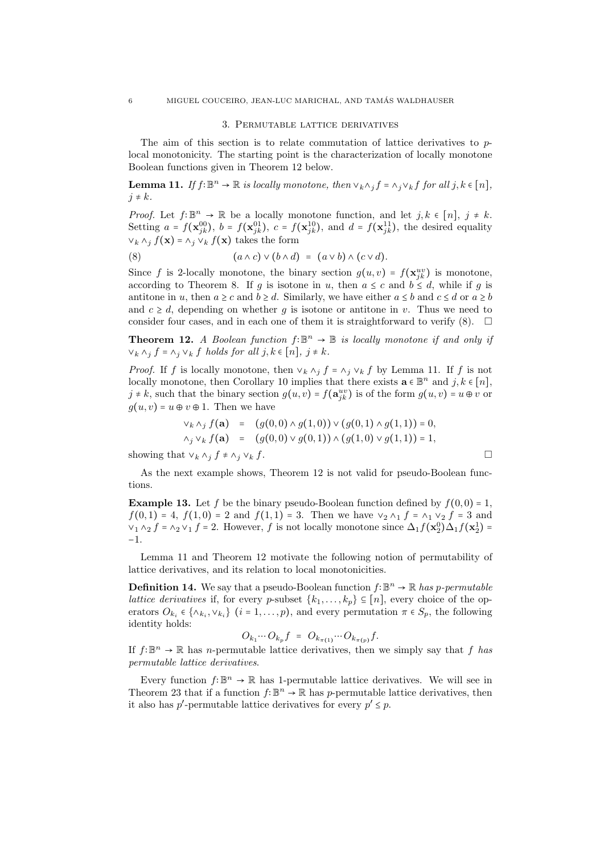### 3. Permutable lattice derivatives

The aim of this section is to relate commutation of lattice derivatives to *p*local monotonicity. The starting point is the characterization of locally monotone Boolean functions given in Theorem 12 below.

**Lemma 11.** *If*  $f: \mathbb{B}^n \to \mathbb{R}$  *is locally monotone, then*  $\vee_k \wedge_j f = \wedge_j \vee_k f$  *for all*  $j, k \in [n]$ *,*  $j \neq k$ .

*Proof.* Let  $f: \mathbb{B}^n \to \mathbb{R}$  be a locally monotone function, and let  $j, k \in [n], j \neq k$ .<br>Setting  $g: f(x, 0) \to f(x, 0)$ ,  $g: f(x, 1) \to f(x, 1)$ , the desired graphitude Setting  $a = f(\mathbf{x}_{jk}^{00}), b = f(\mathbf{x}_{jk}^{01}), c = f(\mathbf{x}_{jk}^{10}), \text{ and } d = f(\mathbf{x}_{jk}^{11}), \text{ the desired equality}$  $∨<sub>k</sub> ∧<sub>j</sub> f(x) = ∧<sub>j</sub> ∨<sub>k</sub> f(x)$  takes the form

(8) 
$$
(a \wedge c) \vee (b \wedge d) = (a \vee b) \wedge (c \vee d).
$$

Since *f* is 2-locally monotone, the binary section  $g(u, v) = f(\mathbf{x}_{jk}^{uv})$  is monotone, according to Theorem 8. If *g* is isotone in *u*, then  $a \leq c$  and  $b \leq d$ , while if *g* is antitone in *u*, then  $a \ge c$  and  $b \ge d$ . Similarly, we have either  $a \le b$  and  $c \le d$  or  $a \ge b$ and  $c \geq d$ , depending on whether g is isotone or antitone in v. Thus we need to consider four cases, and in each one of them it is straightforward to verify  $(8)$ .  $\Box$ 

**Theorem 12.** *A Boolean function*  $f: \mathbb{B}^n \to \mathbb{B}$  *is locally monotone if and only if*  $∨<sub>k</sub> ∧<sub>j</sub> f = ∧<sub>j</sub> ∨<sub>k</sub> f holds for all j, k ∈ [n], j ≠ k.$ 

*Proof.* If *f* is locally monotone, then  $\vee_k \wedge_j f = \wedge_j \vee_k f$  by Lemma 11. If *f* is not locally monotone, then Corollary 10 implies that there exists  $\mathbf{a} \in \mathbb{B}^n$  and  $j, k \in [n]$ ,<br>*i*, *k*, and that the binary section  $c(u, v)$ ,  $f(c^{uv})$  is of the form  $c(u, v)$ ,  $v \oplus v$  and  $j \neq k$ , such that the binary section  $g(u, v) = f(\mathbf{a}_{jk}^{uv})$  is of the form  $g(u, v) = u \oplus v$  or  $q(u, v) = u \oplus v \oplus 1$ . Then we have

$$
\begin{array}{rcl}\n\vee_k \wedge_j f(\mathbf{a}) & = & (g(0,0) \wedge g(1,0)) \vee (g(0,1) \wedge g(1,1)) = 0, \\
\wedge_j \vee_k f(\mathbf{a}) & = & (g(0,0) \vee g(0,1)) \wedge (g(1,0) \vee g(1,1)) = 1,\n\end{array}
$$

showing that  $∨$ <sub>*k*</sub>  $∧$ <sub>*j*</sub>  $f$  ≠  $∧$ <sub>*j*</sub>  $∨$ <sub>*k*</sub>  $f$ .  $□$ 

As the next example shows, Theorem 12 is not valid for pseudo-Boolean functions.

**Example 13.** Let *f* be the binary pseudo-Boolean function defined by  $f(0,0) = 1$ ,  $f(0,1) = 4$ ,  $f(1,0) = 2$  and  $f(1,1) = 3$ . Then we have  $\vee_2 \wedge_1 f = \wedge_1 \vee_2 f = 3$  and  $\vee$ <sub>1</sub> ∧<sub>2</sub> *f* = ∧<sub>2</sub>  $\vee$ <sub>1</sub> *f* = 2. However, *f* is not locally monotone since  $\Delta_1 f(\mathbf{x}_2^0) \Delta_1 f(\mathbf{x}_2^1) =$ −1.

Lemma 11 and Theorem 12 motivate the following notion of permutability of lattice derivatives, and its relation to local monotonicities.

**Definition 14.** We say that a pseudo-Boolean function  $f: \mathbb{B}^n \to \mathbb{R}$  has p-permutable *lattice derivatives* if, for every *p*-subset  $\{k_1, \ldots, k_p\} \subseteq [n]$ , every choice of the operators  $O_{k_i} \in \{\land_{k_i}, \lor_{k_i}\}$  ( $i = 1, \ldots, p$ ), and every permutation  $\pi \in S_p$ , the following identity holds:

$$
O_{k_1}\cdots O_{k_p}f = O_{k_{\pi(1)}}\cdots O_{k_{\pi(p)}}f.
$$

If  $f: \mathbb{B}^n \to \mathbb{R}$  has *n*-permutable lattice derivatives, then we simply say that *f* has *permutable lattice derivatives*.

Every function  $f: \mathbb{B}^n \to \mathbb{R}$  has 1-permutable lattice derivatives. We will see in Theorem 23 that if a function  $f: \mathbb{B}^n \to \mathbb{R}$  has *p*-permutable lattice derivatives, then it also has  $p'$ -permutable lattice derivatives for every  $p' \leq p$ .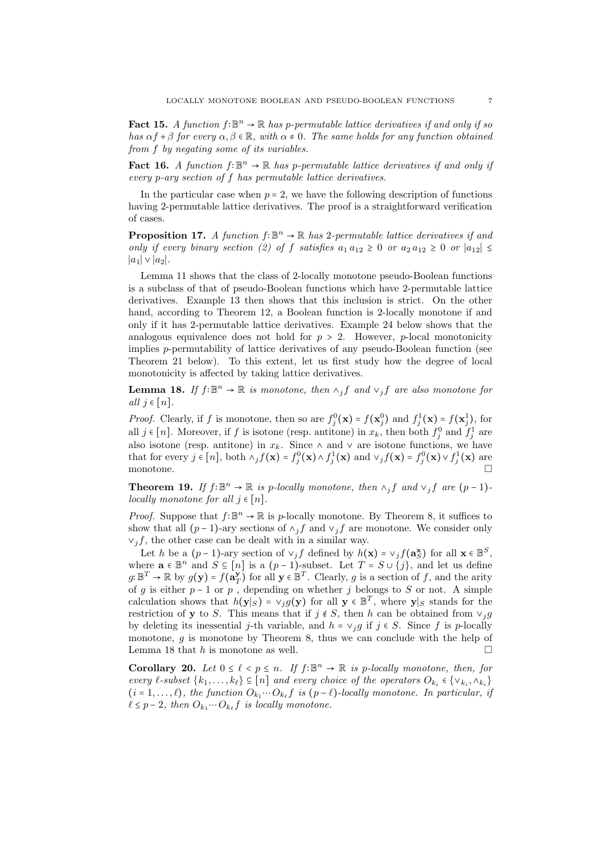Fact 15. *A function*  $f: \mathbb{B}^n \to \mathbb{R}$  has p-permutable lattice derivatives if and only if so *has*  $\alpha f + \beta$  *for every*  $\alpha, \beta \in \mathbb{R}$ *, with*  $\alpha \neq 0$ *. The same holds for any function obtained from f by negating some of its variables.*

Fact 16. *A function*  $f: \mathbb{B}^n \to \mathbb{R}$  *has p*-permutable lattice derivatives if and only if *every p-ary section of f has permutable lattice derivatives.*

In the particular case when  $p = 2$ , we have the following description of functions having 2-permutable lattice derivatives. The proof is a straightforward verification of cases.

**Proposition 17.** *A function*  $f: \mathbb{B}^n \to \mathbb{R}$  *has* 2*-permutable lattice derivatives if and only if every binary section (2) of f satisfies*  $a_1 a_{12} \geq 0$  *or*  $a_2 a_{12} \geq 0$  *or*  $|a_{12}| \leq 0$  $|a_1|$  ∨  $|a_2|$ *.* 

Lemma 11 shows that the class of 2-locally monotone pseudo-Boolean functions is a subclass of that of pseudo-Boolean functions which have 2-permutable lattice derivatives. Example 13 then shows that this inclusion is strict. On the other hand, according to Theorem 12, a Boolean function is 2-locally monotone if and only if it has 2-permutable lattice derivatives. Example 24 below shows that the analogous equivalence does not hold for  $p > 2$ . However, *p*-local monotonicity implies *p*-permutability of lattice derivatives of any pseudo-Boolean function (see Theorem 21 below). To this extent, let us first study how the degree of local monotonicity is affected by taking lattice derivatives.

**Lemma 18.** *If*  $f: \mathbb{B}^n \to \mathbb{R}$  *is monotone, then*  $\wedge_j f$  *and*  $\vee_j f$  *are also monotone for*  $all \, j \in [n]$ .

*Proof.* Clearly, if *f* is monotone, then so are  $f_j^0(\mathbf{x}) = f(\mathbf{x}_j^0)$  and  $f_j^1(\mathbf{x}) = f(\mathbf{x}_j^1)$ , for all  $j \in [n]$ . Moreover, if *f* is isotone (resp. antitone) in  $x_k$ , then both  $f_j^0$  and  $f_j^1$  are also isotone (resp. antitone) in  $x_k$ . Since  $\wedge$  and  $\vee$  are isotone functions, we have that for every  $j \in [n]$ , both  $\wedge_j f(\mathbf{x}) = f_j^0(\mathbf{x}) \wedge f_j^1(\mathbf{x})$  and  $\vee_j f(\mathbf{x}) = f_j^0(\mathbf{x}) \vee f_j^1(\mathbf{x})$  are monotone.  $\Box$ 

**Theorem 19.** *If*  $f: \mathbb{B}^n \to \mathbb{R}$  *is p-locally monotone, then*  $\wedge_j f$  *and*  $\vee_j f$  *are*  $(p-1)$ *locally monotone for all*  $j \in [n]$ *.* 

*Proof.* Suppose that  $f: \mathbb{B}^n \to \mathbb{R}$  is *p*-locally monotone. By Theorem 8, it suffices to show that all  $(p-1)$ -ary sections of  $\land_j f$  and  $\lor_j f$  are monotone. We consider only  $\vee_i f$ , the other case can be dealt with in a similar way.

Let *h* be a  $(p-1)$ -ary section of  $\vee_j f$  defined by  $h(\mathbf{x}) = \vee_j f(\mathbf{a}_{\mathbf{S}}^{\mathbf{x}})$  for all  $\mathbf{x} \in \mathbb{B}^S$ , where  $\mathbf{a} \in \mathbb{B}^n$  and  $S \subseteq [n]$  is a  $(p-1)$ -subset. Let  $T = S \cup \{j\}$ , and let us define  $g: \mathbb{B}^T \to \mathbb{R}$  by  $g(\mathbf{y}) = f(\mathbf{a}_T^{\mathbf{y}})$  for all  $\mathbf{y} \in \mathbb{B}^T$ . Clearly, *g* is a section of *f*, and the arity of *g* is either *p* − 1 or *p* , depending on whether *j* belongs to *S* or not. A simple calculation shows that  $h(\mathbf{y}|s) = \vee_j g(\mathbf{y})$  for all  $\mathbf{y} \in \mathbb{B}^T$ , where  $\mathbf{y}|s$  stands for the restriction of **y** to *S*. This means that if  $j \notin S$ , then *h* can be obtained from  $\vee_j g$ by deleting its inessential *j*-th variable, and  $h = \vee_j g$  if  $j \in S$ . Since f is p-locally monotone, *g* is monotone by Theorem 8, thus we can conclude with the help of Lemma 18 that *h* is monotone as well.

**Corollary 20.** *Let*  $0 \le \ell < p \le n$ . If  $f: \mathbb{B}^n \to \mathbb{R}$  *is p*-locally monotone, then, for *every ℓ*-subset { $k_1, \ldots, k_\ell$ } ⊆ [*n*] *and every choice of the operators*  $O_{k_i} \in \{v_{k_i}, v_{k_i}\}$  $(i = 1, \ldots, \ell)$ *, the function*  $O_{k_1} \cdots O_{k_\ell} f$  *is*  $(p - \ell)$ *-locally monotone. In particular, if*  $\ell \leq p-2$ , then  $O_{k_1} \cdots O_{k_\ell} f$  is locally monotone.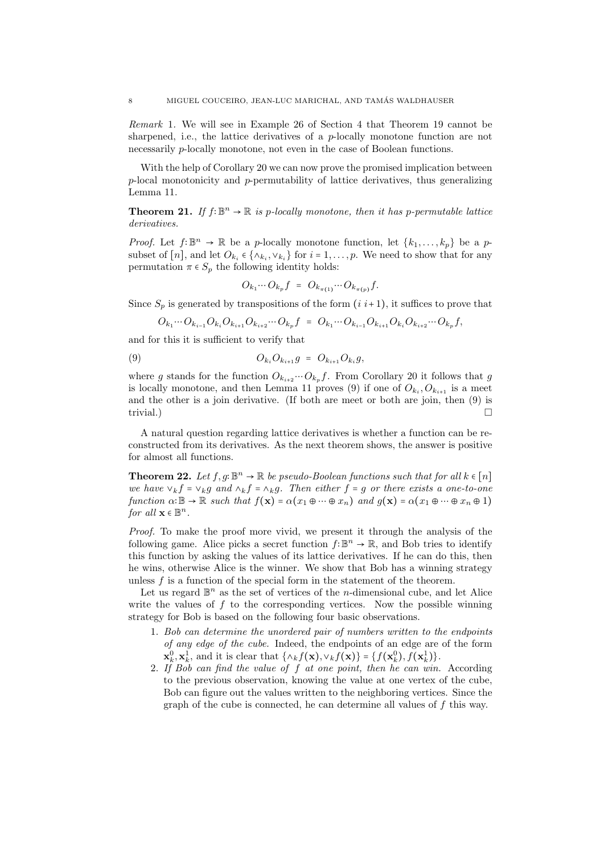*Remark* 1*.* We will see in Example 26 of Section 4 that Theorem 19 cannot be sharpened, i.e., the lattice derivatives of a *p*-locally monotone function are not necessarily *p*-locally monotone, not even in the case of Boolean functions.

With the help of Corollary 20 we can now prove the promised implication between *p*-local monotonicity and *p*-permutability of lattice derivatives, thus generalizing Lemma 11.

**Theorem 21.** *If*  $f: \mathbb{B}^n \to \mathbb{R}$  *is p*-locally monotone, then *it* has *p*-permutable lattice *derivatives.*

*Proof.* Let  $f: \mathbb{B}^n \to \mathbb{R}$  be a *p*-locally monotone function, let  $\{k_1, \ldots, k_p\}$  be a *p*subset of [*n*], and let  $O_{k_i} \in \{\wedge_{k_i}, \vee_{k_i}\}$  for  $i = 1, \ldots, p$ . We need to show that for any permutation  $\pi \in S_p$  the following identity holds:

$$
O_{k_1}\cdots O_{k_p}f = O_{k_{\pi(1)}}\cdots O_{k_{\pi(p)}}f.
$$

Since  $S_p$  is generated by transpositions of the form  $(i i+1)$ , it suffices to prove that

$$
O_{k_1} \cdots O_{k_{i-1}} O_{k_i} O_{k_{i+1}} O_{k_{i+2}} \cdots O_{k_p} f = O_{k_1} \cdots O_{k_{i-1}} O_{k_{i+1}} O_{k_i} O_{k_{i+2}} \cdots O_{k_p} f,
$$

and for this it is sufficient to verify that

(9) 
$$
O_{k_i} O_{k_{i+1}} g = O_{k_{i+1}} O_{k_i} g,
$$

where *g* stands for the function  $O_{k_{i+2}} \cdots O_{k_p} f$ . From Corollary 20 it follows that *g* is locally monotone, and then Lemma 11 proves (9) if one of  $O_{k_i}, O_{k_{i+1}}$  is a meet and the other is a join derivative. (If both are meet or both are join, then (9) is trivial.)

A natural question regarding lattice derivatives is whether a function can be reconstructed from its derivatives. As the next theorem shows, the answer is positive for almost all functions.

**Theorem 22.** Let  $f, g: \mathbb{B}^n \to \mathbb{R}$  be pseudo-Boolean functions such that for all  $k \in [n]$ *we have*  $\vee_k f = \vee_k g$  *and*  $\wedge_k f = \wedge_k g$ *. Then either*  $f = g$  *or there exists a one-to-one function*  $\alpha: \mathbb{B} \to \mathbb{R}$  *such that*  $f(\mathbf{x}) = \alpha(x_1 \oplus \cdots \oplus x_n)$  *and*  $g(\mathbf{x}) = \alpha(x_1 \oplus \cdots \oplus x_n \oplus 1)$ *for all*  $\mathbf{x} \in \mathbb{B}^n$ .

*Proof.* To make the proof more vivid, we present it through the analysis of the following game. Alice picks a secret function  $f: \mathbb{B}^n \to \mathbb{R}$ , and Bob tries to identify this function by asking the values of its lattice derivatives. If he can do this, then he wins, otherwise Alice is the winner. We show that Bob has a winning strategy unless *f* is a function of the special form in the statement of the theorem.

Let us regard  $\mathbb{B}^n$  as the set of vertices of the *n*-dimensional cube, and let Alice write the values of f to the corresponding vertices. Now the possible winning strategy for Bob is based on the following four basic observations.

- 1*. Bob can determine the unordered pair of numbers written to the endpoints of any edge of the cube.* Indeed, the endpoints of an edge are of the form  $\mathbf{x}_k^0, \mathbf{x}_k^1$ , and it is clear that  $\{\wedge_k f(\mathbf{x}), \vee_k f(\mathbf{x})\} = \{f(\mathbf{x}_k^0), f(\mathbf{x}_k^1)\}.$ <br>2. If Bob can find the value of f at one point, then he can win. According
- to the previous observation, knowing the value at one vertex of the cube, Bob can figure out the values written to the neighboring vertices. Since the graph of the cube is connected, he can determine all values of *f* this way.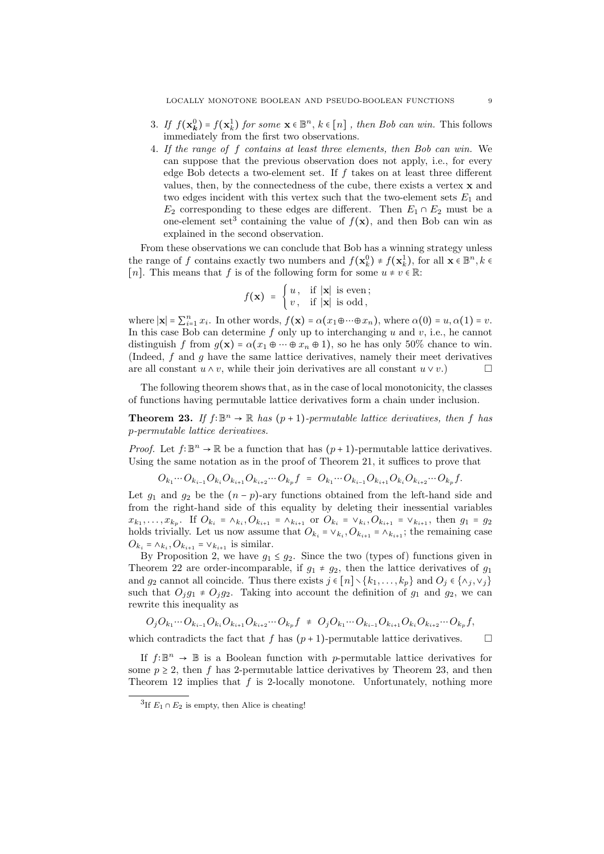- 3*. If*  $f(\mathbf{x}_k^0) = f(\mathbf{x}_k^1)$  *for some*  $\mathbf{x} \in \mathbb{B}^n$ ,  $k \in [n]$ , *then Bob can win.* This follows immediately from the first two observations immediately from the first two observations.
- 4*. If the range of f contains at least three elements, then Bob can win.* We can suppose that the previous observation does not apply, i.e., for every edge Bob detects a two-element set. If *f* takes on at least three different values, then, by the connectedness of the cube, there exists a vertex **x** and two edges incident with this vertex such that the two-element sets  $E_1$  and *E*<sub>2</sub> corresponding to these edges are different. Then  $E_1 \cap E_2$  must be a one-element set<sup>3</sup> containing the value of  $f(\mathbf{x})$ , and then Bob can win as explained in the second observation.

From these observations we can conclude that Bob has a winning strategy unless the range of *f* contains exactly two numbers and  $f(\mathbf{x}_k^0) \neq f(\mathbf{x}_k^1)$ , for all  $\mathbf{x} \in \mathbb{B}^n, k \in \mathbb{R}^n$ . [*n*]. This means that *f* is of the following form for some  $u \neq v \in \mathbb{R}$ :

$$
f(\mathbf{x}) = \begin{cases} u, & \text{if } |\mathbf{x}| \text{ is even}; \\ v, & \text{if } |\mathbf{x}| \text{ is odd}, \end{cases}
$$

where  $|\mathbf{x}| = \sum_{i=1}^{n} x_i$ . In other words,  $f(\mathbf{x}) = \alpha(x_1 \oplus \cdots \oplus x_n)$ , where  $\alpha(0) = u, \alpha(1) = v$ . In this case Bob can determine *f* only up to interchanging *u* and *v*, i.e., he cannot distinguish *f* from  $q(\mathbf{x}) = \alpha(x_1 \oplus \cdots \oplus x_n \oplus 1)$ , so he has only 50% chance to win. (Indeed, *f* and *g* have the same lattice derivatives, namely their meet derivatives are all constant  $u \wedge v$ , while their join derivatives are all constant  $u \vee v$ .

The following theorem shows that, as in the case of local monotonicity, the classes of functions having permutable lattice derivatives form a chain under inclusion.

**Theorem 23.** *If*  $f: \mathbb{B}^n \to \mathbb{R}$  *has*  $(p+1)$ *-permutable lattice derivatives, then*  $f$  *has p-permutable lattice derivatives.*

*Proof.* Let  $f: \mathbb{B}^n \to \mathbb{R}$  be a function that has  $(p+1)$ -permutable lattice derivatives. Using the same notation as in the proof of Theorem 21, it suffices to prove that

$$
O_{k_1}\cdots O_{k_{i-1}}O_{k_i}O_{k_{i+1}}O_{k_{i+2}}\cdots O_{k_p}f = O_{k_1}\cdots O_{k_{i-1}}O_{k_{i+1}}O_{k_i}O_{k_{i+2}}\cdots O_{k_p}f.
$$

Let  $g_1$  and  $g_2$  be the  $(n - p)$ -ary functions obtained from the left-hand side and from the right-hand side of this equality by deleting their inessential variables  $x_{k_1}, \ldots, x_{k_p}$ . If  $O_{k_i} = \wedge_{k_i}, O_{k_{i+1}} = \wedge_{k_{i+1}}$  or  $O_{k_i} = \vee_{k_i}, O_{k_{i+1}} = \vee_{k_{i+1}},$  then  $g_1 = g_2$ holds trivially. Let us now assume that  $O_{k_i} = \vee_{k_i} O_{k_{i+1}} = \wedge_{k_{i+1}}$ ; the remaining case  $O_{k_i} = \wedge_{k_i}, O_{k_{i+1}} = \vee_{k_{i+1}}$  is similar.

By Proposition 2, we have  $g_1 \leq g_2$ . Since the two (types of) functions given in Theorem 22 are order-incomparable, if  $g_1 \neq g_2$ , then the lattice derivatives of  $g_1$ and  $g_2$  cannot all coincide. Thus there exists  $j \in [n] \setminus \{k_1, \ldots, k_p\}$  and  $O_j \in \{\wedge_j, \vee_j\}$ such that  $O_j g_1 \neq O_j g_2$ . Taking into account the definition of  $g_1$  and  $g_2$ , we can rewrite this inequality as

$$
O_j O_{k_1} \cdots O_{k_{i-1}} O_{k_i} O_{k_{i+1}} O_{k_{i+2}} \cdots O_{k_p} f \neq O_j O_{k_1} \cdots O_{k_{i-1}} O_{k_{i+1}} O_{k_i} O_{k_{i+2}} \cdots O_{k_p} f,
$$

which contradicts the fact that *f* has  $(p+1)$ -permutable lattice derivatives.  $\Box$ 

If  $f: \mathbb{B}^n \to \mathbb{B}$  is a Boolean function with *p*-permutable lattice derivatives for some  $p \geq 2$ , then f has 2-permutable lattice derivatives by Theorem 23, and then Theorem 12 implies that *f* is 2-locally monotone. Unfortunately, nothing more

<sup>&</sup>lt;sup>3</sup>If  $E_1 \cap E_2$  is empty, then Alice is cheating!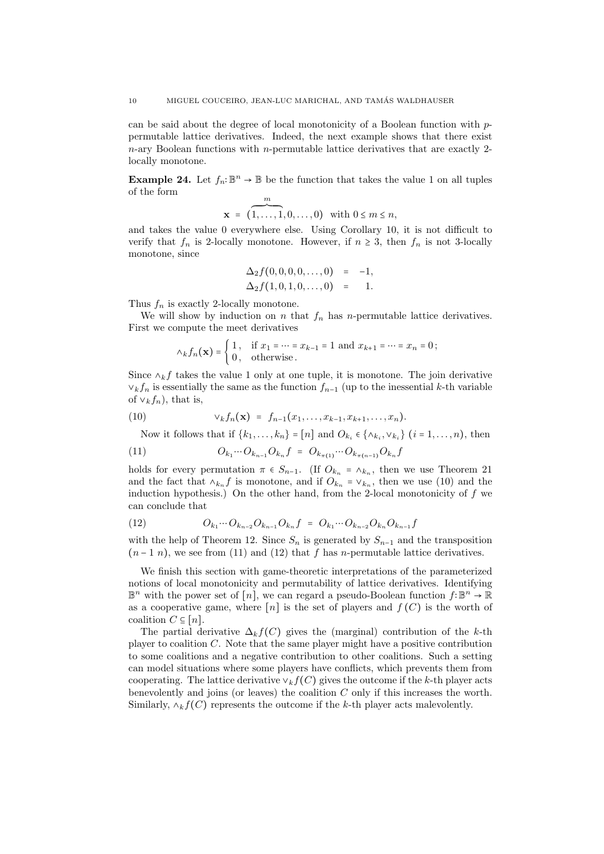can be said about the degree of local monotonicity of a Boolean function with *p*permutable lattice derivatives. Indeed, the next example shows that there exist *n*-ary Boolean functions with *n*-permutable lattice derivatives that are exactly 2 locally monotone.

**Example 24.** Let  $f_n: \mathbb{B}^n \to \mathbb{B}$  be the function that takes the value 1 on all tuples of the form *m*

$$
\mathbf{x} = (1, \ldots, 1, 0, \ldots, 0) \text{ with } 0 \leq m \leq n,
$$

and takes the value 0 everywhere else. Using Corollary 10, it is not difficult to verify that  $f_n$  is 2-locally monotone. However, if  $n \geq 3$ , then  $f_n$  is not 3-locally monotone, since

$$
\Delta_2 f(0,0,0,0,\ldots,0) = -1,\Delta_2 f(1,0,1,0,\ldots,0) = 1.
$$

Thus  $f_n$  is exactly 2-locally monotone.

We will show by induction on *n* that  $f_n$  has *n*-permutable lattice derivatives. First we compute the meet derivatives

$$
\wedge_k f_n(\mathbf{x}) = \begin{cases} 1, & \text{if } x_1 = \dots = x_{k-1} = 1 \text{ and } x_{k+1} = \dots = x_n = 0; \\ 0, & \text{otherwise.} \end{cases}
$$

Since  $\wedge_k f$  takes the value 1 only at one tuple, it is monotone. The join derivative  $∨$ *k* $f_n$  is essentially the same as the function  $f_{n-1}$  (up to the inessential *k*-th variable of  $\vee_k f_n$ , that is,

(10) 
$$
\vee_k f_n(\mathbf{x}) = f_{n-1}(x_1, \ldots, x_{k-1}, x_{k+1}, \ldots, x_n).
$$

Now it follows that if  $\{k_1, \ldots, k_n\} = [n]$  and  $O_{k_i} \in \{\wedge_{k_i}, \vee_{k_i}\}$   $(i = 1, \ldots, n)$ , then

(11) 
$$
O_{k_1}\cdots O_{k_{n-1}}O_{k_n}f = O_{k_{\pi(1)}}\cdots O_{k_{\pi(n-1)}}O_{k_n}f
$$

holds for every permutation  $\pi \in S_{n-1}$ . (If  $O_{k_n} = \wedge_{k_n}$ , then we use Theorem 21 and the fact that  $\lambda_{k_n} f$  is monotone, and if  $O_{k_n} = \vee_{k_n}$ , then we use (10) and the induction hypothesis.) On the other hand, from the 2-local monotonicity of *f* we can conclude that

(12) 
$$
O_{k_1}\cdots O_{k_{n-2}}O_{k_{n-1}}O_{k_n}f = O_{k_1}\cdots O_{k_{n-2}}O_{k_n}O_{k_{n-1}}f
$$

with the help of Theorem 12. Since  $S_n$  is generated by  $S_{n-1}$  and the transposition  $(n-1\ n)$ , we see from (11) and (12) that *f* has *n*-permutable lattice derivatives.

We finish this section with game-theoretic interpretations of the parameterized notions of local monotonicity and permutability of lattice derivatives. Identifying B *<sup>n</sup>* with the power set of [*n*], we can regard a pseudo-Boolean function *<sup>f</sup>*∶<sup>B</sup> *<sup>n</sup>* <sup>→</sup> <sup>R</sup> as a cooperative game, where  $[n]$  is the set of players and  $f(C)$  is the worth of coalition  $C \subseteq [n]$ .

The partial derivative  $\Delta_k f(C)$  gives the (marginal) contribution of the *k*-th player to coalition *C*. Note that the same player might have a positive contribution to some coalitions and a negative contribution to other coalitions. Such a setting can model situations where some players have conflicts, which prevents them from cooperating. The lattice derivative  $\vee_k f(C)$  gives the outcome if the *k*-th player acts benevolently and joins (or leaves) the coalition *C* only if this increases the worth. Similarly,  $\wedge_k f(C)$  represents the outcome if the *k*-th player acts malevolently.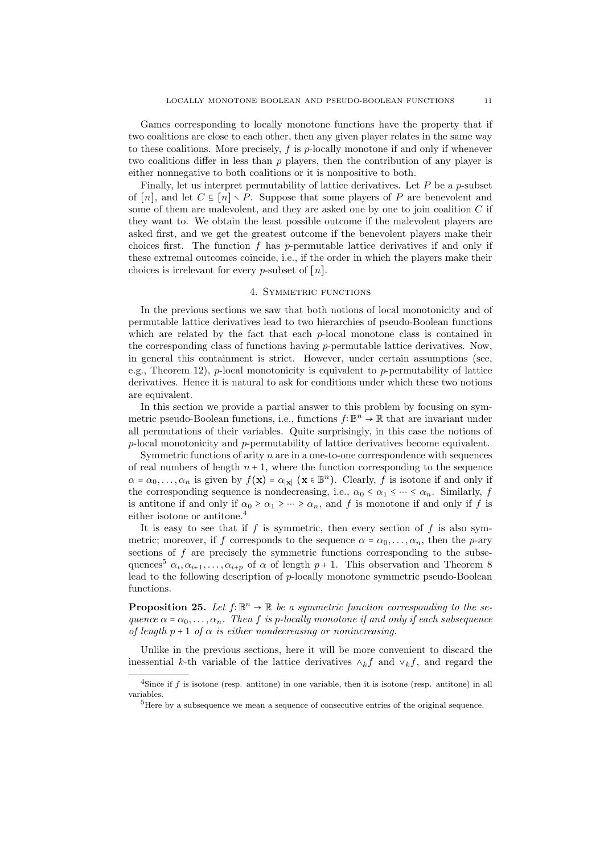Games corresponding to locally monotone functions have the property that if two coalitions are close to each other, then any given player relates in the same way to these coalitions. More precisely, *f* is *p*-locally monotone if and only if whenever two coalitions differ in less than *p* players, then the contribution of any player is either nonnegative to both coalitions or it is nonpositive to both.

Finally, let us interpret permutability of lattice derivatives. Let *P* be a *p*-subset of  $[n]$ , and let  $C \subseteq [n] \setminus P$ . Suppose that some players of P are benevolent and some of them are malevolent, and they are asked one by one to join coalition *C* if they want to. We obtain the least possible outcome if the malevolent players are asked first, and we get the greatest outcome if the benevolent players make their choices first. The function *f* has *p*-permutable lattice derivatives if and only if these extremal outcomes coincide, i.e., if the order in which the players make their choices is irrelevant for every *p*-subset of [*n*].

# 4. SYMMETRIC FUNCTIONS

In the previous sections we saw that both notions of local monotonicity and of permutable lattice derivatives lead to two hierarchies of pseudo-Boolean functions which are related by the fact that each *p*-local monotone class is contained in the corresponding class of functions having *p*-permutable lattice derivatives. Now, in general this containment is strict. However, under certain assumptions (see, e.g., Theorem 12), *p*-local monotonicity is equivalent to *p*-permutability of lattice derivatives. Hence it is natural to ask for conditions under which these two notions are equivalent.

In this section we provide a partial answer to this problem by focusing on symmetric pseudo-Boolean functions, i.e., functions *f*∶B *<sup>n</sup>* <sup>→</sup> <sup>R</sup> that are invariant under all permutations of their variables. Quite surprisingly, in this case the notions of *p*-local monotonicity and *p*-permutability of lattice derivatives become equivalent.

Symmetric functions of arity *n* are in a one-to-one correspondence with sequences of real numbers of length  $n + 1$ , where the function corresponding to the sequence  $\alpha = \alpha_0, \ldots, \alpha_n$  is given by  $f(\mathbf{x}) = \alpha_{|\mathbf{x}|} (\mathbf{x} \in \mathbb{B}^n)$ . Clearly, *f* is isotone if and only if the corresponding sequence is nondecreasing, i.e.,  $\alpha_0 \leq \alpha_1 \leq \cdots \leq \alpha_n$ . Similarly, *f* is antitone if and only if  $\alpha_0 \ge \alpha_1 \ge \cdots \ge \alpha_n$ , and *f* is monotone if and only if *f* is either isotone or antitone.<sup>4</sup>

It is easy to see that if  $f$  is symmetric, then every section of  $f$  is also symmetric; moreover, if *f* corresponds to the sequence  $\alpha = \alpha_0, \ldots, \alpha_n$ , then the *p*-ary sections of *f* are precisely the symmetric functions corresponding to the subsequences<sup>5</sup>  $\alpha_i, \alpha_{i+1}, \ldots, \alpha_{i+p}$  of  $\alpha$  of length  $p+1$ . This observation and Theorem 8 lead to the following description of *p*-locally monotone symmetric pseudo-Boolean functions.

**Proposition 25.** *Let*  $f: \mathbb{B}^n \to \mathbb{R}$  *be a symmetric function corresponding to the sequence*  $\alpha = \alpha_0, \ldots, \alpha_n$ *. Then f is p*-*locally monotone if and only if each subsequence of length*  $p+1$  *of*  $\alpha$  *is either nondecreasing or nonincreasing.* 

Unlike in the previous sections, here it will be more convenient to discard the inessential *k*-th variable of the lattice derivatives  $\wedge_k f$  and  $\vee_k f$ , and regard the

<sup>&</sup>lt;sup>4</sup>Since if *f* is isotone (resp. antitone) in one variable, then it is isotone (resp. antitone) in all variables.

<sup>5</sup>Here by a subsequence we mean a sequence of consecutive entries of the original sequence.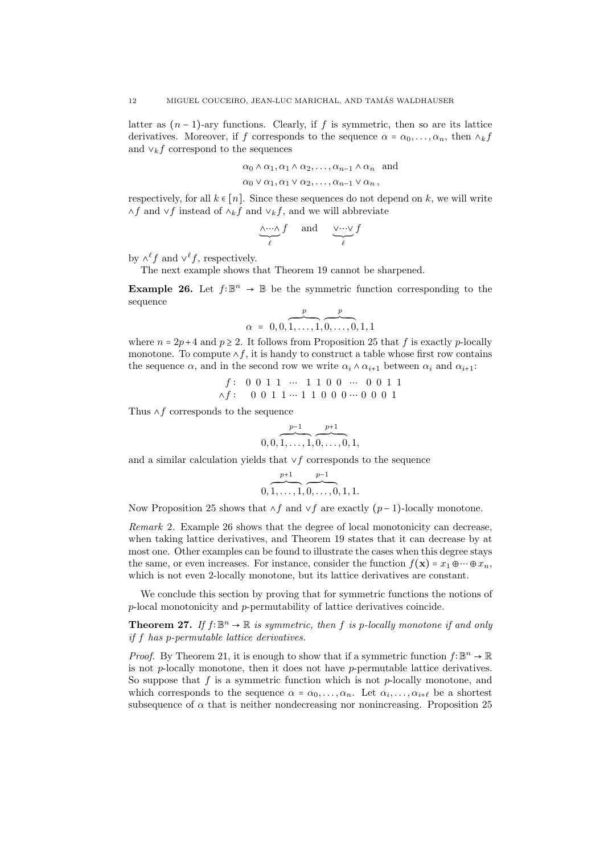latter as  $(n-1)$ -ary functions. Clearly, if *f* is symmetric, then so are its lattice derivatives. Moreover, if *f* corresponds to the sequence  $\alpha = \alpha_0, \ldots, \alpha_n$ , then  $\lambda_k f$ and  $\vee_k f$  correspond to the sequences

$$
\alpha_0 \wedge \alpha_1, \alpha_1 \wedge \alpha_2, \ldots, \alpha_{n-1} \wedge \alpha_n
$$
 and

 $\alpha_0 \vee \alpha_1, \alpha_1 \vee \alpha_2, \ldots, \alpha_{n-1} \vee \alpha_n$ 

respectively, for all  $k \in [n]$ . Since these sequences do not depend on  $k$ , we will write ∧*f* and ∨*f* instead of ∧*<sup>k</sup>f* and ∨*<sup>k</sup>f*, and we will abbreviate

$$
\underbrace{\wedge \cdots \wedge}_{\ell} f \quad \text{ and } \quad \underbrace{\vee \cdots \vee}_{\ell} f
$$

by  $\wedge^{\ell} f$  and  $\vee^{\ell} f$ , respectively.

The next example shows that Theorem 19 cannot be sharpened.

**Example 26.** Let  $f: \mathbb{B}^n \to \mathbb{B}$  be the symmetric function corresponding to the sequence

$$
\alpha = 0, 0, \overbrace{1, \ldots, 1}^{p}, \overbrace{0, \ldots, 0}^{p}, 1, 1
$$

where  $n = 2p + 4$  and  $p \ge 2$ . It follows from Proposition 25 that f is exactly *p*-locally monotone. To compute ∧*f*, it is handy to construct a table whose first row contains the sequence  $\alpha$ , and in the second row we write  $\alpha_i \wedge \alpha_{i+1}$  between  $\alpha_i$  and  $\alpha_{i+1}$ :

$$
f: \begin{array}{cccccc} 0 & 0 & 1 & 1 & \cdots & 1 & 1 & 0 & 0 & \cdots & 0 & 0 & 1 & 1 \\ \wedge f: & 0 & 0 & 1 & 1 & \cdots & 1 & 1 & 0 & 0 & 0 & \cdots & 0 & 0 & 0 & 1 \end{array}
$$

Thus ∧*f* corresponds to the sequence

$$
0,0,\overbrace{1,\ldots,1}^{p-1},\overbrace{0,\ldots,0}^{p+1},1,
$$

and a similar calculation yields that ∨*f* corresponds to the sequence

$$
\overbrace{0,1,\ldots,1}^{p+1},\overbrace{0,\ldots,0}^{p-1},1,1.
$$

Now Proposition 25 shows that ∧*f* and ∨*f* are exactly (*p* − 1)-locally monotone.

*Remark* 2*.* Example 26 shows that the degree of local monotonicity can decrease, when taking lattice derivatives, and Theorem 19 states that it can decrease by at most one. Other examples can be found to illustrate the cases when this degree stays the same, or even increases. For instance, consider the function  $f(\mathbf{x}) = x_1 \oplus \cdots \oplus x_n$ , which is not even 2-locally monotone, but its lattice derivatives are constant.

We conclude this section by proving that for symmetric functions the notions of *p*-local monotonicity and *p*-permutability of lattice derivatives coincide.

**Theorem 27.** *If*  $f: \mathbb{B}^n \to \mathbb{R}$  *is symmetric, then*  $f$  *is*  $p$ *-locally monotone if and only if f has p-permutable lattice derivatives.*

*Proof.* By Theorem 21, it is enough to show that if a symmetric function  $f: \mathbb{B}^n \to \mathbb{R}$ is not *p*-locally monotone, then it does not have *p*-permutable lattice derivatives. So suppose that *f* is a symmetric function which is not *p*-locally monotone, and which corresponds to the sequence  $\alpha = \alpha_0, \ldots, \alpha_n$ . Let  $\alpha_i, \ldots, \alpha_{i+\ell}$  be a shortest subsequence of  $\alpha$  that is neither nondecreasing nor nonincreasing. Proposition 25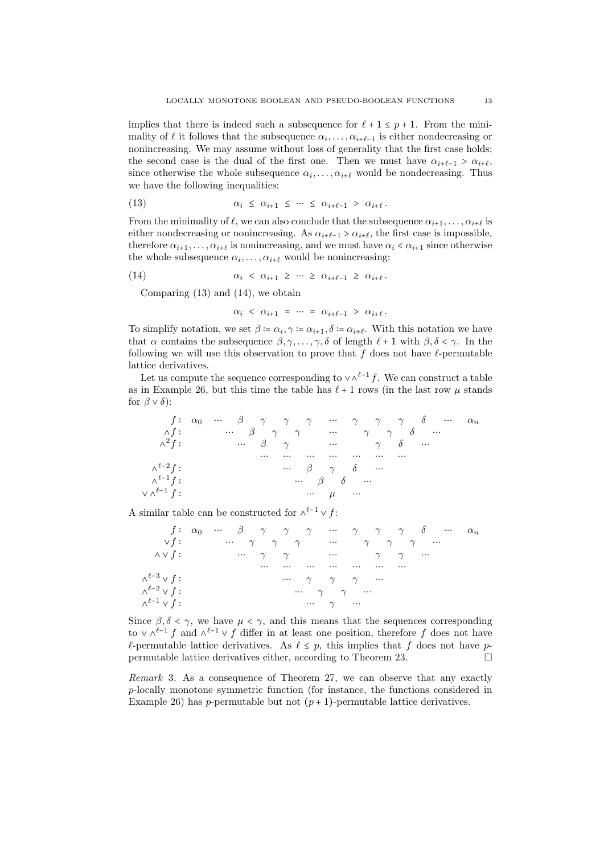implies that there is indeed such a subsequence for  $\ell + 1 \leq p + 1$ . From the minimality of  $\ell$  it follows that the subsequence  $\alpha_i, \ldots, \alpha_{i+\ell-1}$  is either nondecreasing or nonincreasing. We may assume without loss of generality that the first case holds; the second case is the dual of the first one. Then we must have  $\alpha_{i+\ell-1} > \alpha_{i+\ell}$ , since otherwise the whole subsequence  $\alpha_i, \ldots, \alpha_{i+\ell}$  would be nondecreasing. Thus we have the following inequalities:

(13) 
$$
\alpha_i \leq \alpha_{i+1} \leq \cdots \leq \alpha_{i+\ell-1} > \alpha_{i+\ell}.
$$

From the minimality of  $\ell$ , we can also conclude that the subsequence  $\alpha_{i+1}, \ldots, \alpha_{i+\ell}$  is either nondecreasing or nonincreasing. As  $\alpha_{i+\ell-1} > \alpha_{i+\ell}$ , the first case is impossible, therefore  $\alpha_{i+1}, \ldots, \alpha_{i+\ell}$  is nonincreasing, and we must have  $\alpha_i < \alpha_{i+1}$  since otherwise the whole subsequence  $\alpha_i, \ldots, \alpha_{i+\ell}$  would be nonincreasing:

(14) 
$$
\alpha_i \leq \alpha_{i+1} \geq \cdots \geq \alpha_{i+\ell-1} \geq \alpha_{i+\ell}.
$$

Comparing (13) and (14), we obtain

$$
\alpha_i \ < \ \alpha_{i+1} \ = \ \cdots \ = \ \alpha_{i+\ell-1} \ > \ \alpha_{i+\ell} \, .
$$

To simplify notation, we set  $\beta := \alpha_i, \gamma := \alpha_{i+1}, \delta := \alpha_{i+\ell}$ . With this notation we have that  $\alpha$  contains the subsequence  $\beta, \gamma, \ldots, \gamma, \delta$  of length  $\ell + 1$  with  $\beta, \delta < \gamma$ . In the following we will use this observation to prove that *f* does not have *ℓ*-permutable lattice derivatives.

Let us compute the sequence corresponding to  $\vee \wedge^{l-1} f$ . We can construct a table as in Example 26, but this time the table has  $\ell + 1$  rows (in the last row  $\mu$  stands for  $\beta \vee \delta$ :

$$
f: \alpha_0 \cdots \beta \gamma \gamma \gamma \cdots \gamma \gamma \gamma \delta \cdots \alpha_n
$$
  
\n
$$
\Delta f: \qquad \cdots \beta \gamma \gamma \gamma \cdots \gamma \gamma \delta \cdots
$$
  
\n
$$
\Delta^2 f: \qquad \cdots \beta \gamma \gamma \cdots \cdots \gamma \delta \cdots
$$
  
\n
$$
\cdots \cdots \cdots \cdots \cdots \cdots \cdots
$$
  
\n
$$
\Delta^{\ell-2} f: \qquad \cdots \beta \gamma \delta \cdots
$$
  
\n
$$
\Delta^{\ell-1} f: \qquad \cdots \beta \delta \cdots
$$
  
\n
$$
\cdots \beta \delta \cdots
$$

A similar table can be constructed for  $\wedge^{l-1} \vee f$ :

|                                                     |  |  |  |                                              |  |                                                                                                                  | $f: \alpha_0 \cdots \beta \gamma \gamma \gamma \cdots \gamma \gamma \gamma \omega \cdots \alpha_n$ |  |
|-----------------------------------------------------|--|--|--|----------------------------------------------|--|------------------------------------------------------------------------------------------------------------------|----------------------------------------------------------------------------------------------------|--|
| $\vee f$ :                                          |  |  |  |                                              |  | $\cdots$ $\gamma$ $\gamma$ $\gamma$ $\cdots$ $\gamma$ $\gamma$ $\gamma$ $\cdots$                                 |                                                                                                    |  |
| $\wedge\vee f:$ $\gamma$ $\gamma$ $\gamma$ $\gamma$ |  |  |  |                                              |  |                                                                                                                  |                                                                                                    |  |
|                                                     |  |  |  |                                              |  | and the company of the company of the company of the company of the company of the company of the company of the |                                                                                                    |  |
| $\wedge^{\ell-3} \vee f$ :                          |  |  |  | $\cdots$ $\gamma$ $\gamma$ $\gamma$ $\cdots$ |  |                                                                                                                  |                                                                                                    |  |
| $\wedge^{\ell-2} \vee f$ :                          |  |  |  | $\cdots$ $\gamma$ $\gamma$ $\cdots$          |  |                                                                                                                  |                                                                                                    |  |
| $\wedge^{\ell-1} \vee f$ :                          |  |  |  | $\cdots$ $\gamma$                            |  |                                                                                                                  |                                                                                                    |  |

Since  $\beta$ ,  $\delta < \gamma$ , we have  $\mu < \gamma$ , and this means that the sequences corresponding to ∨  $\wedge^{l-1} f$  and  $\wedge^{l-1} \vee f$  differ in at least one position, therefore *f* does not have *ℓ*-permutable lattice derivatives. As  $\ell \leq p$ , this implies that *f* does not have *p*-<br>permutable lattice derivatives either, according to Theorem 23. permutable lattice derivatives either, according to Theorem 23.

*Remark* 3*.* As a consequence of Theorem 27, we can observe that any exactly *p*-locally monotone symmetric function (for instance, the functions considered in Example 26) has *p*-permutable but not  $(p+1)$ -permutable lattice derivatives.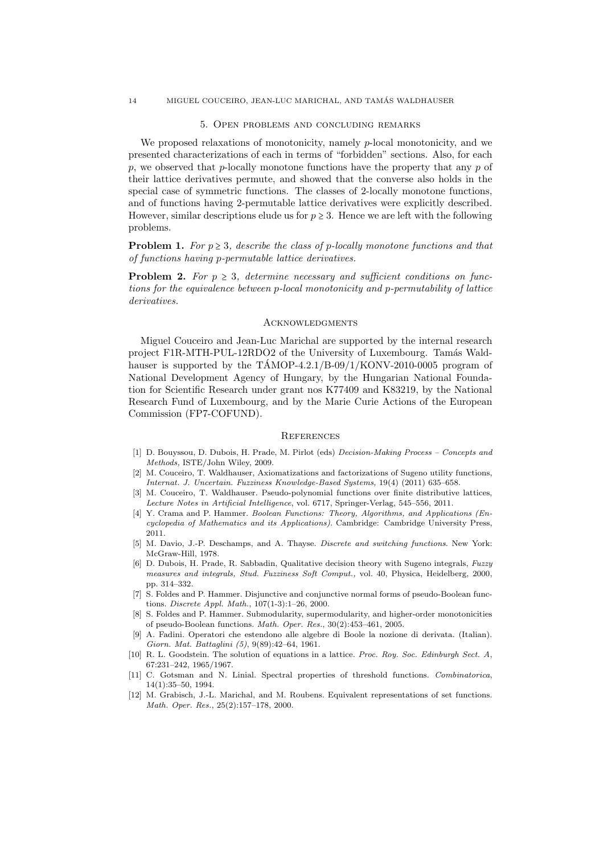#### 14 MIGUEL COUCEIRO, JEAN-LUC MARICHAL, AND TAMAS WALDHAUSER ´

### 5. Open problems and concluding remarks

We proposed relaxations of monotonicity, namely *p*-local monotonicity, and we presented characterizations of each in terms of "forbidden" sections. Also, for each *p*, we observed that *p*-locally monotone functions have the property that any *p* of their lattice derivatives permute, and showed that the converse also holds in the special case of symmetric functions. The classes of 2-locally monotone functions, and of functions having 2-permutable lattice derivatives were explicitly described. However, similar descriptions elude us for  $p \geq 3$ . Hence we are left with the following problems.

**Problem 1.** *For*  $p \geq 3$ *, describe the class of p-locally monotone functions and that of functions having p-permutable lattice derivatives.*

**Problem 2.** For  $p \geq 3$ , determine necessary and sufficient conditions on func*tions for the equivalence between p-local monotonicity and p-permutability of lattice derivatives.*

### **ACKNOWLEDGMENTS**

Miguel Couceiro and Jean-Luc Marichal are supported by the internal research project F1R-MTH-PUL-12RDO2 of the University of Luxembourg. Tamás Waldhauser is supported by the  $TAMOP-4.2.1/B-09/1/KONV-2010-0005$  program of National Development Agency of Hungary, by the Hungarian National Foundation for Scientific Research under grant nos K77409 and K83219, by the National Research Fund of Luxembourg, and by the Marie Curie Actions of the European Commission (FP7-COFUND).

### **REFERENCES**

- [1] D. Bouyssou, D. Dubois, H. Prade, M. Pirlot (eds) *Decision-Making Process Concepts and Methods,* ISTE/John Wiley, 2009.
- [2] M. Couceiro, T. Waldhauser, Axiomatizations and factorizations of Sugeno utility functions, *Internat. J. Uncertain. Fuzziness Knowledge-Based Systems,* 19(4) (2011) 635–658.
- [3] M. Couceiro, T. Waldhauser. Pseudo-polynomial functions over finite distributive lattices, *Lecture Notes in Artificial Intelligence*, vol. 6717, Springer-Verlag, 545–556, 2011.
- [4] Y. Crama and P. Hammer. *Boolean Functions: Theory, Algorithms, and Applications (Encyclopedia of Mathematics and its Applications)*. Cambridge: Cambridge University Press, 2011.
- [5] M. Davio, J.-P. Deschamps, and A. Thayse. *Discrete and switching functions*. New York: McGraw-Hill, 1978.
- [6] D. Dubois, H. Prade, R. Sabbadin, Qualitative decision theory with Sugeno integrals, *Fuzzy measures and integrals, Stud. Fuzziness Soft Comput.,* vol. 40, Physica, Heidelberg, 2000, pp. 314–332.
- [7] S. Foldes and P. Hammer. Disjunctive and conjunctive normal forms of pseudo-Boolean functions. *Discrete Appl. Math.*, 107(1-3):1–26, 2000.
- [8] S. Foldes and P. Hammer. Submodularity, supermodularity, and higher-order monotonicities of pseudo-Boolean functions. *Math. Oper. Res.*, 30(2):453–461, 2005.
- [9] A. Fadini. Operatori che estendono alle algebre di Boole la nozione di derivata. (Italian). *Giorn. Mat. Battaglini (5)*, 9(89):42–64, 1961.
- [10] R. L. Goodstein. The solution of equations in a lattice. *Proc. Roy. Soc. Edinburgh Sect. A*, 67:231–242, 1965/1967.
- [11] C. Gotsman and N. Linial. Spectral properties of threshold functions. *Combinatorica*, 14(1):35–50, 1994.
- [12] M. Grabisch, J.-L. Marichal, and M. Roubens. Equivalent representations of set functions. *Math. Oper. Res.*, 25(2):157–178, 2000.